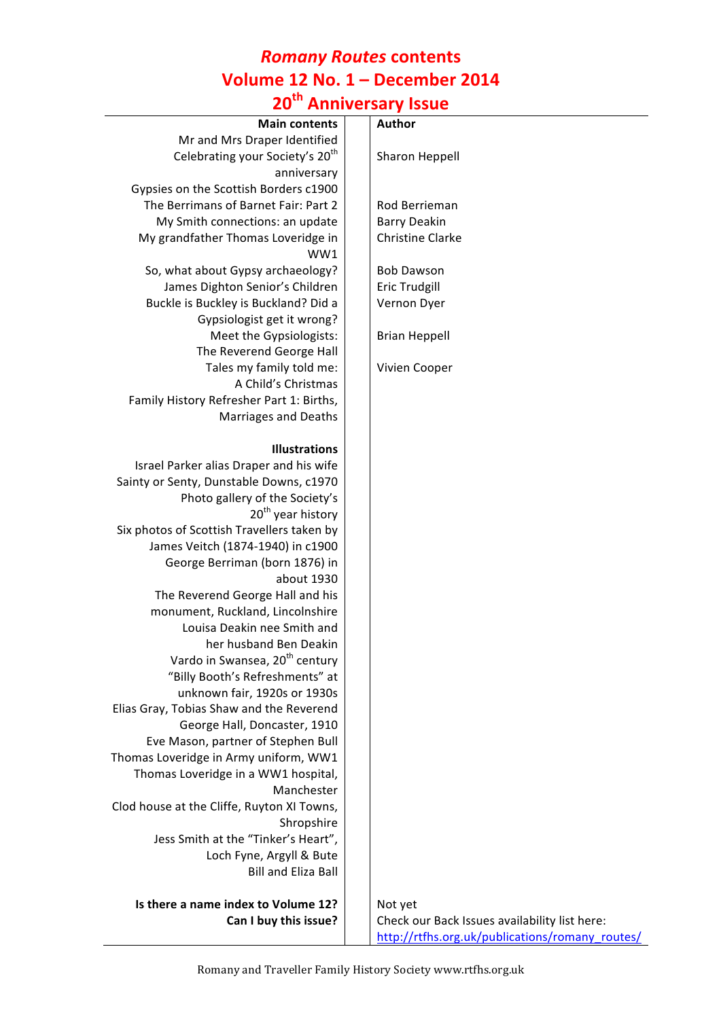# *Romany Routes* **contents Volume 12 No. 1 – December 2014**

| 20 <sup>th</sup><br><b>Anniversary Issue</b>                                  |  |                                               |  |
|-------------------------------------------------------------------------------|--|-----------------------------------------------|--|
| <b>Main contents</b>                                                          |  | Author                                        |  |
| Mr and Mrs Draper Identified                                                  |  |                                               |  |
| Celebrating your Society's 20 <sup>th</sup>                                   |  | Sharon Heppell                                |  |
| anniversary                                                                   |  |                                               |  |
| Gypsies on the Scottish Borders c1900                                         |  |                                               |  |
| The Berrimans of Barnet Fair: Part 2                                          |  | Rod Berrieman                                 |  |
| My Smith connections: an update                                               |  | <b>Barry Deakin</b>                           |  |
| My grandfather Thomas Loveridge in<br>WW1                                     |  | <b>Christine Clarke</b>                       |  |
| So, what about Gypsy archaeology?                                             |  | <b>Bob Dawson</b>                             |  |
| James Dighton Senior's Children                                               |  | <b>Eric Trudgill</b>                          |  |
| Buckle is Buckley is Buckland? Did a                                          |  | Vernon Dyer                                   |  |
| Gypsiologist get it wrong?                                                    |  |                                               |  |
| Meet the Gypsiologists:                                                       |  | <b>Brian Heppell</b>                          |  |
| The Reverend George Hall                                                      |  |                                               |  |
| Tales my family told me:                                                      |  | Vivien Cooper                                 |  |
| A Child's Christmas                                                           |  |                                               |  |
| Family History Refresher Part 1: Births,                                      |  |                                               |  |
| <b>Marriages and Deaths</b>                                                   |  |                                               |  |
| <b>Illustrations</b>                                                          |  |                                               |  |
| Israel Parker alias Draper and his wife                                       |  |                                               |  |
| Sainty or Senty, Dunstable Downs, c1970                                       |  |                                               |  |
| Photo gallery of the Society's                                                |  |                                               |  |
| 20 <sup>th</sup> year history                                                 |  |                                               |  |
| Six photos of Scottish Travellers taken by                                    |  |                                               |  |
| James Veitch (1874-1940) in c1900                                             |  |                                               |  |
| George Berriman (born 1876) in                                                |  |                                               |  |
| about 1930                                                                    |  |                                               |  |
| The Reverend George Hall and his                                              |  |                                               |  |
| monument, Ruckland, Lincolnshire                                              |  |                                               |  |
| Louisa Deakin nee Smith and                                                   |  |                                               |  |
| her husband Ben Deakin                                                        |  |                                               |  |
| Vardo in Swansea, 20 <sup>th</sup> century<br>"Billy Booth's Refreshments" at |  |                                               |  |
| unknown fair, 1920s or 1930s                                                  |  |                                               |  |
| Elias Gray, Tobias Shaw and the Reverend                                      |  |                                               |  |
| George Hall, Doncaster, 1910                                                  |  |                                               |  |
| Eve Mason, partner of Stephen Bull                                            |  |                                               |  |
| Thomas Loveridge in Army uniform, WW1                                         |  |                                               |  |
| Thomas Loveridge in a WW1 hospital,                                           |  |                                               |  |
| Manchester                                                                    |  |                                               |  |
| Clod house at the Cliffe, Ruyton XI Towns,                                    |  |                                               |  |
| Shropshire                                                                    |  |                                               |  |
| Jess Smith at the "Tinker's Heart",                                           |  |                                               |  |
| Loch Fyne, Argyll & Bute                                                      |  |                                               |  |
| <b>Bill and Eliza Ball</b>                                                    |  |                                               |  |
| Is there a name index to Volume 12?                                           |  | Not yet                                       |  |
| Can I buy this issue?                                                         |  | Check our Back Issues availability list here: |  |

http://rtfhs.org.uk/publications/romany\_routes/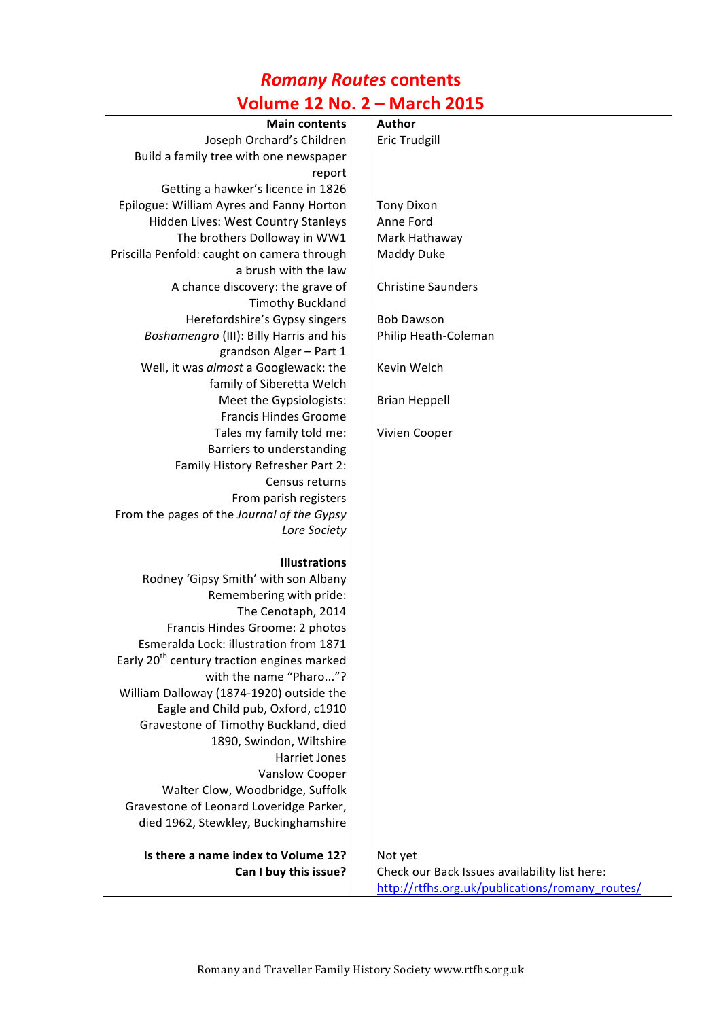# *Romany Routes* **contents**

## **Volume 12 No. 2 – March 2015**

| <b>Main contents</b>                                   | Author                                          |
|--------------------------------------------------------|-------------------------------------------------|
| Joseph Orchard's Children                              | <b>Eric Trudgill</b>                            |
| Build a family tree with one newspaper                 |                                                 |
| report                                                 |                                                 |
| Getting a hawker's licence in 1826                     |                                                 |
| Epilogue: William Ayres and Fanny Horton               | <b>Tony Dixon</b>                               |
| Hidden Lives: West Country Stanleys                    | Anne Ford                                       |
| The brothers Dolloway in WW1                           | Mark Hathaway                                   |
| Priscilla Penfold: caught on camera through            | Maddy Duke                                      |
| a brush with the law                                   |                                                 |
| A chance discovery: the grave of                       | <b>Christine Saunders</b>                       |
| <b>Timothy Buckland</b>                                |                                                 |
| Herefordshire's Gypsy singers                          | <b>Bob Dawson</b>                               |
| Boshamengro (III): Billy Harris and his                | Philip Heath-Coleman                            |
| grandson Alger - Part 1                                |                                                 |
| Well, it was almost a Googlewack: the                  | Kevin Welch                                     |
| family of Siberetta Welch                              |                                                 |
| Meet the Gypsiologists:                                | <b>Brian Heppell</b>                            |
| <b>Francis Hindes Groome</b>                           |                                                 |
| Tales my family told me:                               | Vivien Cooper                                   |
| Barriers to understanding                              |                                                 |
| Family History Refresher Part 2:                       |                                                 |
| Census returns                                         |                                                 |
| From parish registers                                  |                                                 |
| From the pages of the Journal of the Gypsy             |                                                 |
| Lore Society                                           |                                                 |
|                                                        |                                                 |
| <b>Illustrations</b>                                   |                                                 |
| Rodney 'Gipsy Smith' with son Albany                   |                                                 |
| Remembering with pride:                                |                                                 |
| The Cenotaph, 2014                                     |                                                 |
| Francis Hindes Groome: 2 photos                        |                                                 |
| Esmeralda Lock: illustration from 1871                 |                                                 |
| Early 20 <sup>th</sup> century traction engines marked |                                                 |
| with the name "Pharo"?                                 |                                                 |
| William Dalloway (1874-1920) outside the               |                                                 |
| Eagle and Child pub, Oxford, c1910                     |                                                 |
| Gravestone of Timothy Buckland, died                   |                                                 |
| 1890, Swindon, Wiltshire                               |                                                 |
| <b>Harriet Jones</b>                                   |                                                 |
| <b>Vanslow Cooper</b>                                  |                                                 |
| Walter Clow, Woodbridge, Suffolk                       |                                                 |
| Gravestone of Leonard Loveridge Parker,                |                                                 |
| died 1962, Stewkley, Buckinghamshire                   |                                                 |
| Is there a name index to Volume 12?                    | Not yet                                         |
| Can I buy this issue?                                  | Check our Back Issues availability list here:   |
|                                                        | http://rtfhs.org.uk/publications/romany_routes/ |
|                                                        |                                                 |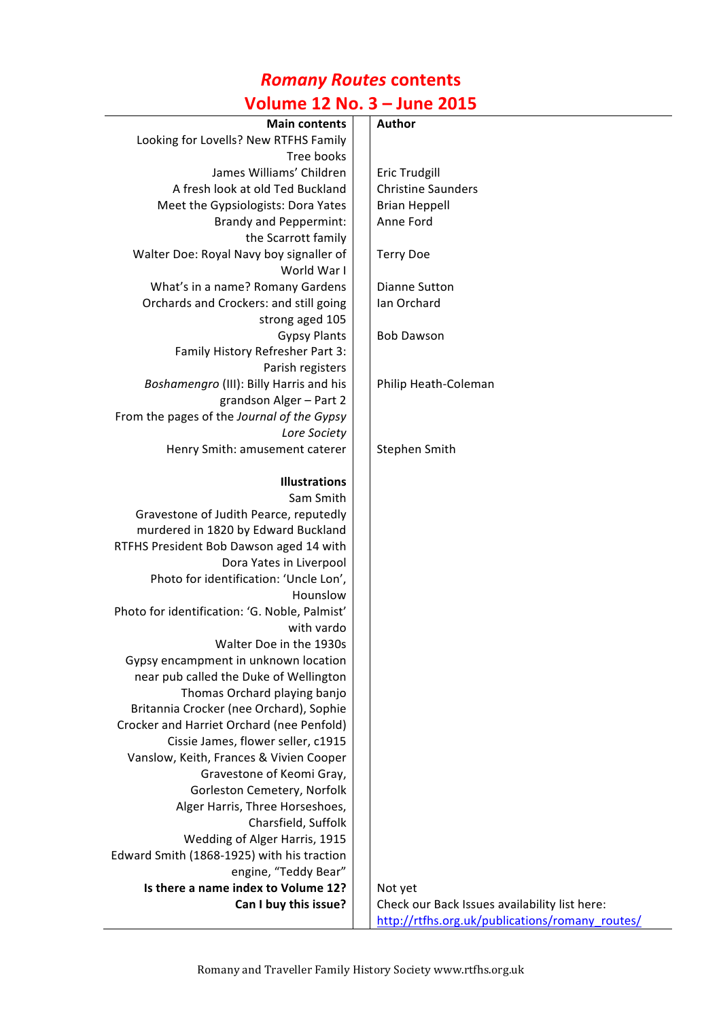## *Romany Routes* **contents**

### **Volume 12 No. 3 – June 2015**

| <b>Main contents</b>                                                           | <b>Author</b>                                   |
|--------------------------------------------------------------------------------|-------------------------------------------------|
| Looking for Lovells? New RTFHS Family                                          |                                                 |
| Tree books                                                                     |                                                 |
| James Williams' Children                                                       | <b>Eric Trudgill</b>                            |
| A fresh look at old Ted Buckland                                               | <b>Christine Saunders</b>                       |
| Meet the Gypsiologists: Dora Yates                                             | <b>Brian Heppell</b>                            |
| <b>Brandy and Peppermint:</b>                                                  | Anne Ford                                       |
| the Scarrott family                                                            |                                                 |
| Walter Doe: Royal Navy boy signaller of                                        | <b>Terry Doe</b>                                |
| World War I                                                                    |                                                 |
| What's in a name? Romany Gardens                                               | <b>Dianne Sutton</b>                            |
| Orchards and Crockers: and still going                                         | Ian Orchard                                     |
| strong aged 105                                                                |                                                 |
| <b>Gypsy Plants</b>                                                            | <b>Bob Dawson</b>                               |
| Family History Refresher Part 3:                                               |                                                 |
| Parish registers                                                               |                                                 |
| Boshamengro (III): Billy Harris and his                                        | Philip Heath-Coleman                            |
| grandson Alger - Part 2                                                        |                                                 |
| From the pages of the Journal of the Gypsy                                     |                                                 |
| Lore Society                                                                   |                                                 |
| Henry Smith: amusement caterer                                                 | Stephen Smith                                   |
| <b>Illustrations</b>                                                           |                                                 |
| Sam Smith                                                                      |                                                 |
|                                                                                |                                                 |
| Gravestone of Judith Pearce, reputedly                                         |                                                 |
| murdered in 1820 by Edward Buckland<br>RTFHS President Bob Dawson aged 14 with |                                                 |
|                                                                                |                                                 |
| Dora Yates in Liverpool<br>Photo for identification: 'Uncle Lon',              |                                                 |
| Hounslow                                                                       |                                                 |
| Photo for identification: 'G. Noble, Palmist'                                  |                                                 |
| with vardo                                                                     |                                                 |
| Walter Doe in the 1930s                                                        |                                                 |
| Gypsy encampment in unknown location                                           |                                                 |
| near pub called the Duke of Wellington                                         |                                                 |
| Thomas Orchard playing banjo                                                   |                                                 |
| Britannia Crocker (nee Orchard), Sophie                                        |                                                 |
| Crocker and Harriet Orchard (nee Penfold)                                      |                                                 |
| Cissie James, flower seller, c1915                                             |                                                 |
| Vanslow, Keith, Frances & Vivien Cooper                                        |                                                 |
| Gravestone of Keomi Gray,                                                      |                                                 |
| Gorleston Cemetery, Norfolk                                                    |                                                 |
| Alger Harris, Three Horseshoes,                                                |                                                 |
| Charsfield, Suffolk                                                            |                                                 |
| Wedding of Alger Harris, 1915                                                  |                                                 |
| Edward Smith (1868-1925) with his traction                                     |                                                 |
| engine, "Teddy Bear"                                                           |                                                 |
| Is there a name index to Volume 12?                                            | Not yet                                         |
| Can I buy this issue?                                                          | Check our Back Issues availability list here:   |
|                                                                                | http://rtfhs.org.uk/publications/romany_routes/ |
|                                                                                |                                                 |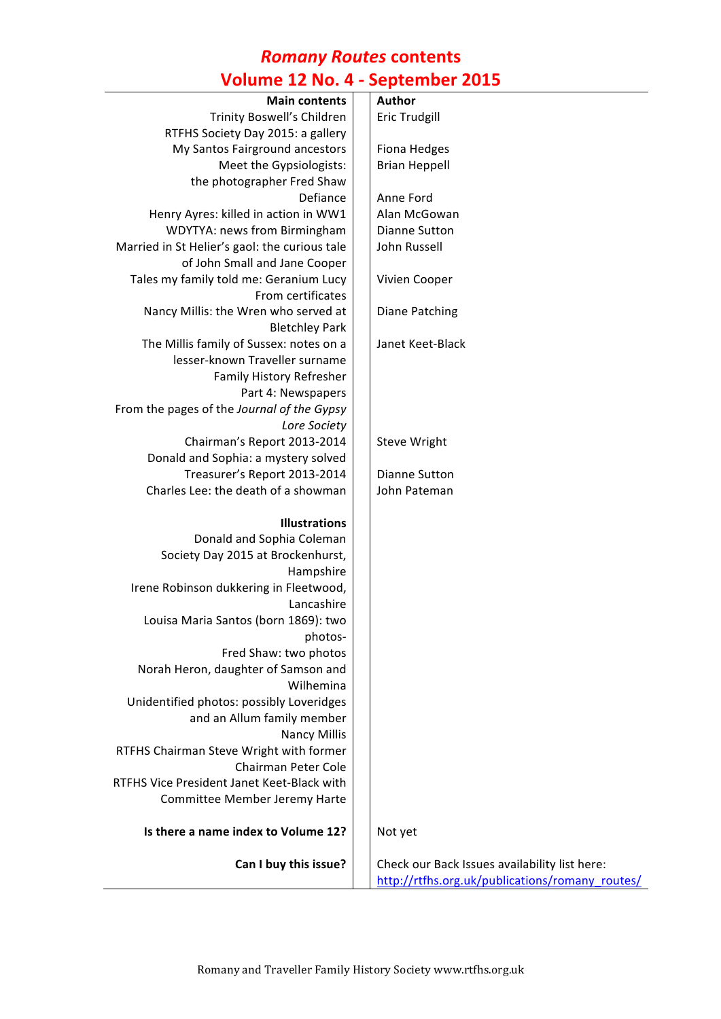#### *Romany Routes* **contents Volume 12 No. 4 - September 2015**

| <b>VUILITE 12 IVU. 4</b><br><b>Septemper COTS</b> |  |                                                 |
|---------------------------------------------------|--|-------------------------------------------------|
| <b>Main contents</b>                              |  | Author                                          |
| Trinity Boswell's Children                        |  | <b>Eric Trudgill</b>                            |
| RTFHS Society Day 2015: a gallery                 |  |                                                 |
| My Santos Fairground ancestors                    |  | <b>Fiona Hedges</b>                             |
| Meet the Gypsiologists:                           |  | <b>Brian Heppell</b>                            |
| the photographer Fred Shaw                        |  |                                                 |
| Defiance                                          |  | Anne Ford                                       |
| Henry Ayres: killed in action in WW1              |  | Alan McGowan                                    |
| <b>WDYTYA: news from Birmingham</b>               |  | Dianne Sutton                                   |
| Married in St Helier's gaol: the curious tale     |  | John Russell                                    |
| of John Small and Jane Cooper                     |  |                                                 |
| Tales my family told me: Geranium Lucy            |  | Vivien Cooper                                   |
| From certificates                                 |  |                                                 |
| Nancy Millis: the Wren who served at              |  | <b>Diane Patching</b>                           |
| <b>Bletchley Park</b>                             |  |                                                 |
| The Millis family of Sussex: notes on a           |  | Janet Keet-Black                                |
| lesser-known Traveller surname                    |  |                                                 |
| Family History Refresher                          |  |                                                 |
|                                                   |  |                                                 |
| Part 4: Newspapers                                |  |                                                 |
| From the pages of the Journal of the Gypsy        |  |                                                 |
| Lore Society                                      |  |                                                 |
| Chairman's Report 2013-2014                       |  | Steve Wright                                    |
| Donald and Sophia: a mystery solved               |  |                                                 |
| Treasurer's Report 2013-2014                      |  | <b>Dianne Sutton</b>                            |
| Charles Lee: the death of a showman               |  | John Pateman                                    |
|                                                   |  |                                                 |
| <b>Illustrations</b>                              |  |                                                 |
| Donald and Sophia Coleman                         |  |                                                 |
| Society Day 2015 at Brockenhurst,                 |  |                                                 |
| Hampshire                                         |  |                                                 |
| Irene Robinson dukkering in Fleetwood,            |  |                                                 |
| Lancashire                                        |  |                                                 |
| Louisa Maria Santos (born 1869): two              |  |                                                 |
| photos-                                           |  |                                                 |
| Fred Shaw: two photos                             |  |                                                 |
| Norah Heron, daughter of Samson and               |  |                                                 |
| Wilhemina                                         |  |                                                 |
| Unidentified photos: possibly Loveridges          |  |                                                 |
| and an Allum family member                        |  |                                                 |
| <b>Nancy Millis</b>                               |  |                                                 |
| RTFHS Chairman Steve Wright with former           |  |                                                 |
| Chairman Peter Cole                               |  |                                                 |
| RTFHS Vice President Janet Keet-Black with        |  |                                                 |
| Committee Member Jeremy Harte                     |  |                                                 |
|                                                   |  |                                                 |
| Is there a name index to Volume 12?               |  | Not yet                                         |
|                                                   |  |                                                 |
| Can I buy this issue?                             |  | Check our Back Issues availability list here:   |
|                                                   |  | http://rtfhs.org.uk/publications/romany_routes/ |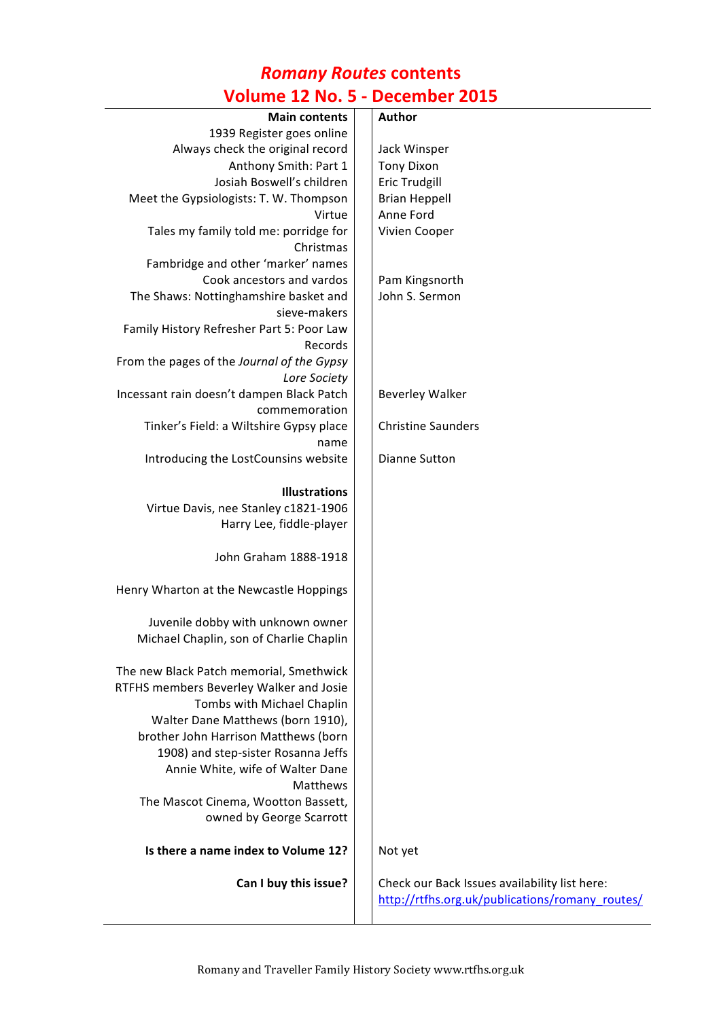## *Romany Routes* **contents Volume 12 No. 5 - December 2015**

| UIUIIIL 14 IVU J                           | PCCCHINGL EVIS                                  |
|--------------------------------------------|-------------------------------------------------|
| <b>Main contents</b>                       | <b>Author</b>                                   |
| 1939 Register goes online                  |                                                 |
| Always check the original record           | Jack Winsper                                    |
| Anthony Smith: Part 1                      | <b>Tony Dixon</b>                               |
| Josiah Boswell's children                  | Eric Trudgill                                   |
| Meet the Gypsiologists: T. W. Thompson     | <b>Brian Heppell</b>                            |
| Virtue                                     | Anne Ford                                       |
| Tales my family told me: porridge for      | Vivien Cooper                                   |
| Christmas                                  |                                                 |
| Fambridge and other 'marker' names         |                                                 |
| Cook ancestors and vardos                  | Pam Kingsnorth                                  |
| The Shaws: Nottinghamshire basket and      | John S. Sermon                                  |
| sieve-makers                               |                                                 |
| Family History Refresher Part 5: Poor Law  |                                                 |
| Records                                    |                                                 |
| From the pages of the Journal of the Gypsy |                                                 |
| Lore Society                               |                                                 |
| Incessant rain doesn't dampen Black Patch  | <b>Beverley Walker</b>                          |
| commemoration                              |                                                 |
| Tinker's Field: a Wiltshire Gypsy place    | <b>Christine Saunders</b>                       |
| name                                       |                                                 |
| Introducing the LostCounsins website       | Dianne Sutton                                   |
|                                            |                                                 |
| <b>Illustrations</b>                       |                                                 |
| Virtue Davis, nee Stanley c1821-1906       |                                                 |
| Harry Lee, fiddle-player                   |                                                 |
|                                            |                                                 |
| John Graham 1888-1918                      |                                                 |
|                                            |                                                 |
| Henry Wharton at the Newcastle Hoppings    |                                                 |
| Juvenile dobby with unknown owner          |                                                 |
| Michael Chaplin, son of Charlie Chaplin    |                                                 |
|                                            |                                                 |
| The new Black Patch memorial, Smethwick    |                                                 |
| RTFHS members Beverley Walker and Josie    |                                                 |
| Tombs with Michael Chaplin                 |                                                 |
| Walter Dane Matthews (born 1910),          |                                                 |
| brother John Harrison Matthews (born       |                                                 |
| 1908) and step-sister Rosanna Jeffs        |                                                 |
| Annie White, wife of Walter Dane           |                                                 |
| <b>Matthews</b>                            |                                                 |
| The Mascot Cinema, Wootton Bassett,        |                                                 |
| owned by George Scarrott                   |                                                 |
|                                            |                                                 |
| Is there a name index to Volume 12?        | Not yet                                         |
|                                            |                                                 |
| Can I buy this issue?                      | Check our Back Issues availability list here:   |
|                                            | http://rtfhs.org.uk/publications/romany_routes/ |
|                                            |                                                 |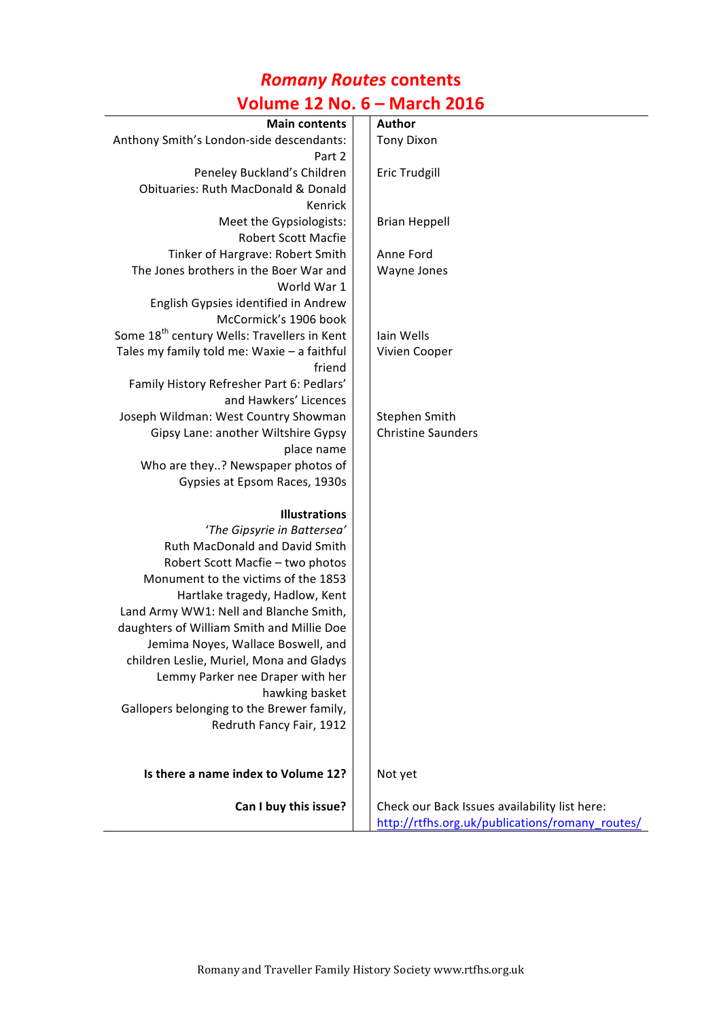# *Romany Routes* **contents**

## **Volume 12 No. 6 – March 2016**

| VIVIIIV 46 IVVI                                         |                                                 |
|---------------------------------------------------------|-------------------------------------------------|
| <b>Main contents</b>                                    | <b>Author</b>                                   |
| Anthony Smith's London-side descendants:                | <b>Tony Dixon</b>                               |
| Part 2                                                  |                                                 |
| Peneley Buckland's Children                             | Eric Trudgill                                   |
| Obituaries: Ruth MacDonald & Donald                     |                                                 |
| Kenrick                                                 |                                                 |
| Meet the Gypsiologists:                                 | <b>Brian Heppell</b>                            |
| <b>Robert Scott Macfie</b>                              |                                                 |
| Tinker of Hargrave: Robert Smith                        | Anne Ford                                       |
| The Jones brothers in the Boer War and                  | Wayne Jones                                     |
| World War 1                                             |                                                 |
| English Gypsies identified in Andrew                    |                                                 |
| McCormick's 1906 book                                   |                                                 |
| Some 18 <sup>th</sup> century Wells: Travellers in Kent | Iain Wells                                      |
| Tales my family told me: Waxie - a faithful             | Vivien Cooper                                   |
| friend                                                  |                                                 |
| Family History Refresher Part 6: Pedlars'               |                                                 |
| and Hawkers' Licences                                   |                                                 |
| Joseph Wildman: West Country Showman                    | Stephen Smith                                   |
| Gipsy Lane: another Wiltshire Gypsy                     | <b>Christine Saunders</b>                       |
| place name                                              |                                                 |
| Who are they? Newspaper photos of                       |                                                 |
| Gypsies at Epsom Races, 1930s                           |                                                 |
|                                                         |                                                 |
| <b>Illustrations</b>                                    |                                                 |
| 'The Gipsyrie in Battersea'                             |                                                 |
| Ruth MacDonald and David Smith                          |                                                 |
| Robert Scott Macfie - two photos                        |                                                 |
| Monument to the victims of the 1853                     |                                                 |
| Hartlake tragedy, Hadlow, Kent                          |                                                 |
| Land Army WW1: Nell and Blanche Smith,                  |                                                 |
| daughters of William Smith and Millie Doe               |                                                 |
| Jemima Noyes, Wallace Boswell, and                      |                                                 |
| children Leslie, Muriel, Mona and Gladys                |                                                 |
| Lemmy Parker nee Draper with her                        |                                                 |
| hawking basket                                          |                                                 |
| Gallopers belonging to the Brewer family,               |                                                 |
| Redruth Fancy Fair, 1912                                |                                                 |
|                                                         |                                                 |
| Is there a name index to Volume 12?                     | Not yet                                         |
|                                                         |                                                 |
| Can I buy this issue?                                   | Check our Back Issues availability list here:   |
|                                                         | http://rtfhs.org.uk/publications/romany_routes/ |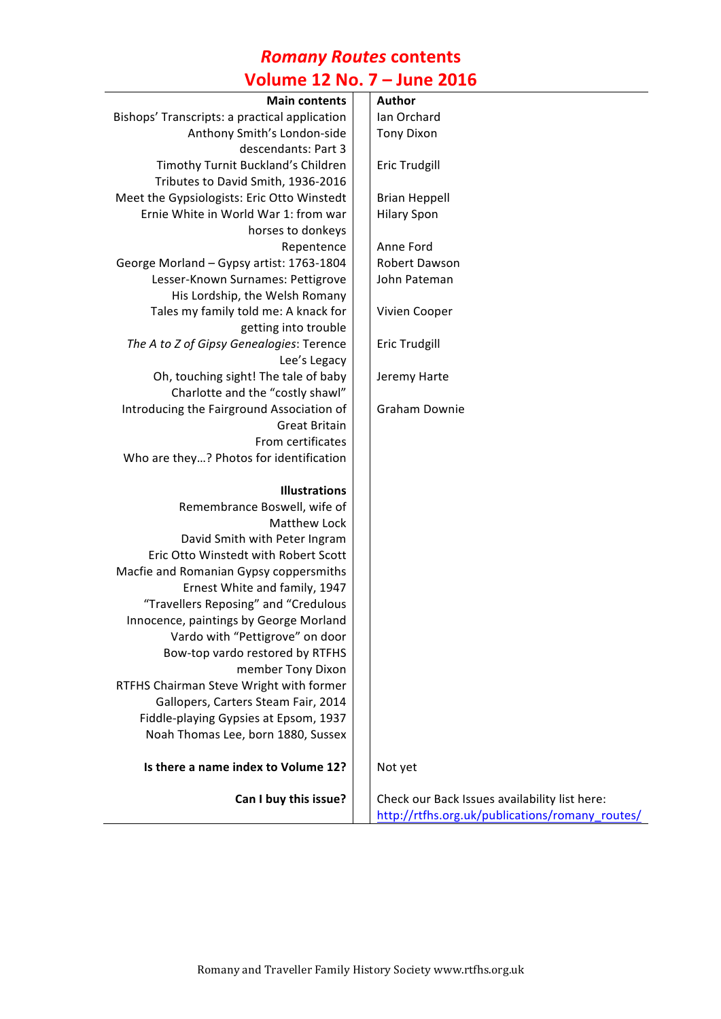#### *Romany Routes* **contents Volume 12 No. 7 – June 2016**

| <b>Main contents</b>                          | Author                                          |
|-----------------------------------------------|-------------------------------------------------|
| Bishops' Transcripts: a practical application | Ian Orchard                                     |
| Anthony Smith's London-side                   | <b>Tony Dixon</b>                               |
| descendants: Part 3                           |                                                 |
| Timothy Turnit Buckland's Children            | Eric Trudgill                                   |
| Tributes to David Smith, 1936-2016            |                                                 |
| Meet the Gypsiologists: Eric Otto Winstedt    | <b>Brian Heppell</b>                            |
| Ernie White in World War 1: from war          | <b>Hilary Spon</b>                              |
| horses to donkeys                             |                                                 |
| Repentence                                    | Anne Ford                                       |
| George Morland - Gypsy artist: 1763-1804      | Robert Dawson                                   |
| Lesser-Known Surnames: Pettigrove             | John Pateman                                    |
| His Lordship, the Welsh Romany                |                                                 |
| Tales my family told me: A knack for          | Vivien Cooper                                   |
| getting into trouble                          |                                                 |
| The A to Z of Gipsy Genealogies: Terence      | <b>Eric Trudgill</b>                            |
| Lee's Legacy                                  |                                                 |
| Oh, touching sight! The tale of baby          | Jeremy Harte                                    |
| Charlotte and the "costly shawl"              |                                                 |
| Introducing the Fairground Association of     | Graham Downie                                   |
| <b>Great Britain</b>                          |                                                 |
| From certificates                             |                                                 |
| Who are they? Photos for identification       |                                                 |
|                                               |                                                 |
| <b>Illustrations</b>                          |                                                 |
| Remembrance Boswell, wife of                  |                                                 |
| Matthew Lock                                  |                                                 |
| David Smith with Peter Ingram                 |                                                 |
| Eric Otto Winstedt with Robert Scott          |                                                 |
| Macfie and Romanian Gypsy coppersmiths        |                                                 |
| Ernest White and family, 1947                 |                                                 |
| "Travellers Reposing" and "Credulous          |                                                 |
| Innocence, paintings by George Morland        |                                                 |
| Vardo with "Pettigrove" on door               |                                                 |
| Bow-top vardo restored by RTFHS               |                                                 |
| member Tony Dixon                             |                                                 |
| RTFHS Chairman Steve Wright with former       |                                                 |
| Gallopers, Carters Steam Fair, 2014           |                                                 |
| Fiddle-playing Gypsies at Epsom, 1937         |                                                 |
| Noah Thomas Lee, born 1880, Sussex            |                                                 |
| Is there a name index to Volume 12?           | Not yet                                         |
| Can I buy this issue?                         | Check our Back Issues availability list here:   |
|                                               | http://rtfhs.org.uk/publications/romany_routes/ |